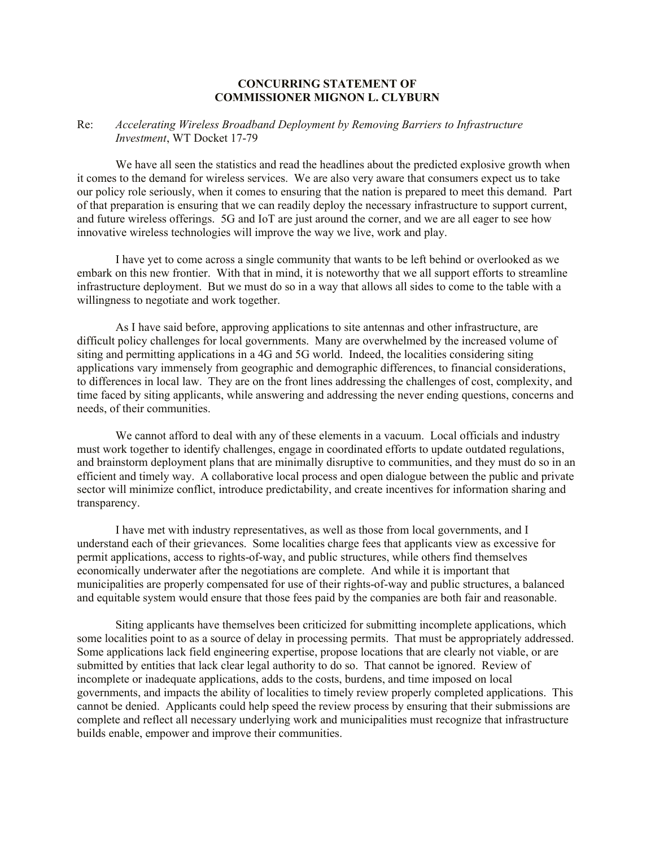## **CONCURRING STATEMENT OF COMMISSIONER MIGNON L. CLYBURN**

## Re: *Accelerating Wireless Broadband Deployment by Removing Barriers to Infrastructure Investment*, WT Docket 17-79

We have all seen the statistics and read the headlines about the predicted explosive growth when it comes to the demand for wireless services. We are also very aware that consumers expect us to take our policy role seriously, when it comes to ensuring that the nation is prepared to meet this demand. Part of that preparation is ensuring that we can readily deploy the necessary infrastructure to support current, and future wireless offerings. 5G and IoT are just around the corner, and we are all eager to see how innovative wireless technologies will improve the way we live, work and play.

I have yet to come across a single community that wants to be left behind or overlooked as we embark on this new frontier. With that in mind, it is noteworthy that we all support efforts to streamline infrastructure deployment. But we must do so in a way that allows all sides to come to the table with a willingness to negotiate and work together.

As I have said before, approving applications to site antennas and other infrastructure, are difficult policy challenges for local governments. Many are overwhelmed by the increased volume of siting and permitting applications in a 4G and 5G world. Indeed, the localities considering siting applications vary immensely from geographic and demographic differences, to financial considerations, to differences in local law. They are on the front lines addressing the challenges of cost, complexity, and time faced by siting applicants, while answering and addressing the never ending questions, concerns and needs, of their communities.

We cannot afford to deal with any of these elements in a vacuum. Local officials and industry must work together to identify challenges, engage in coordinated efforts to update outdated regulations, and brainstorm deployment plans that are minimally disruptive to communities, and they must do so in an efficient and timely way. A collaborative local process and open dialogue between the public and private sector will minimize conflict, introduce predictability, and create incentives for information sharing and transparency.

I have met with industry representatives, as well as those from local governments, and I understand each of their grievances. Some localities charge fees that applicants view as excessive for permit applications, access to rights-of-way, and public structures, while others find themselves economically underwater after the negotiations are complete. And while it is important that municipalities are properly compensated for use of their rights-of-way and public structures, a balanced and equitable system would ensure that those fees paid by the companies are both fair and reasonable.

Siting applicants have themselves been criticized for submitting incomplete applications, which some localities point to as a source of delay in processing permits. That must be appropriately addressed. Some applications lack field engineering expertise, propose locations that are clearly not viable, or are submitted by entities that lack clear legal authority to do so. That cannot be ignored. Review of incomplete or inadequate applications, adds to the costs, burdens, and time imposed on local governments, and impacts the ability of localities to timely review properly completed applications. This cannot be denied. Applicants could help speed the review process by ensuring that their submissions are complete and reflect all necessary underlying work and municipalities must recognize that infrastructure builds enable, empower and improve their communities.